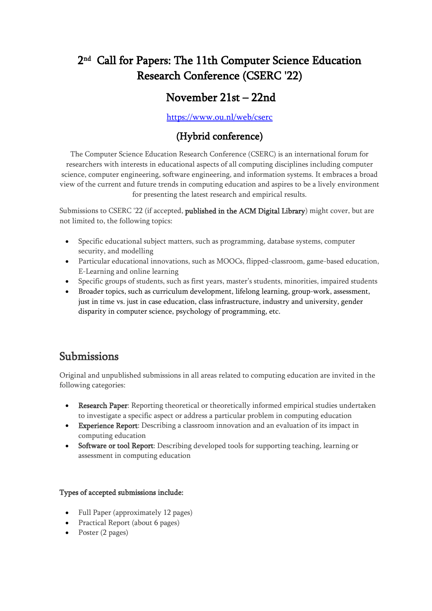# 2nd Call for Papers: The 11th Computer Science Education Research Conference (CSERC '22)

## November 21st – 22nd

#### <https://www.ou.nl/web/cserc>

#### (Hybrid conference)

The Computer Science Education Research Conference (CSERC) is an international forum for researchers with interests in educational aspects of all computing disciplines including computer science, computer engineering, software engineering, and information systems. It embraces a broad view of the current and future trends in computing education and aspires to be a lively environment for presenting the latest research and empirical results.

Submissions to CSERC '22 (if accepted, published in the ACM Digital Library) might cover, but are not limited to, the following topics:

- Specific educational subject matters, such as programming, database systems, computer security, and modelling
- Particular educational innovations, such as MOOCs, flipped-classroom, game-based education, E-Learning and online learning
- Specific groups of students, such as first years, master's students, minorities, impaired students
- Broader topics, such as curriculum development, lifelong learning, group-work, assessment, just in time vs. just in case education, class infrastructure, industry and university, gender disparity in computer science, psychology of programming, etc.

### Submissions

Original and unpublished submissions in all areas related to computing education are invited in the following categories:

- Research Paper: Reporting theoretical or theoretically informed empirical studies undertaken to investigate a specific aspect or address a particular problem in computing education
- Experience Report: Describing a classroom innovation and an evaluation of its impact in computing education
- Software or tool Report: Describing developed tools for supporting teaching, learning or assessment in computing education

#### Types of accepted submissions include:

- Full Paper (approximately 12 pages)
- Practical Report (about 6 pages)
- Poster (2 pages)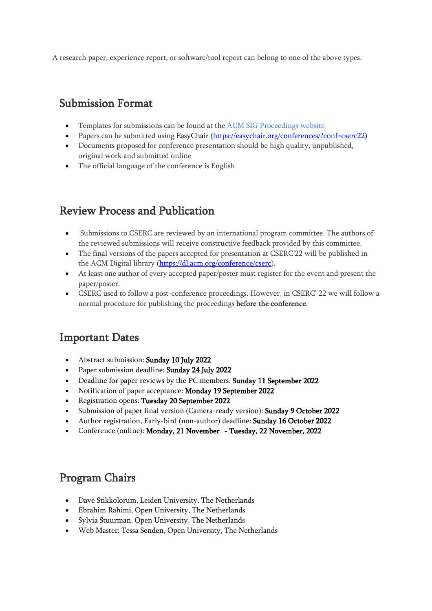A research paper, experience report, or software/tool report can belong to one of the above types.

#### Submission Format

- Templates for submissions can be found at th[e ACM SIG Proceedings website](https://www.acm.org/publications/proceedings-template)
- Papers can be submitted using EasyChair [\(https://easychair.org/conferences/?conf=cserc22\)](https://easychair.org/conferences/?conf=cserc22)
- Documents proposed for conference presentation should be high quality, unpublished, original work and submitted online
- The official language of the conference is English

## Review Process and Publication

- Submissions to CSERC are reviewed by an international program committee. The authors of the reviewed submissions will receive constructive feedback provided by this committee.
- The final versions of the papers accepted for presentation at CSERC'22 will be published in the ACM Digital library [\(https://dl.acm.org/conference/cserc\)](https://dl.acm.org/conference/cserc).
- At least one author of every accepted paper/poster must register for the event and present the paper/poster.
- CSERC used to follow a post-conference proceedings. However, in CSERC' 22 we will follow a normal procedure for publishing the proceedings before the conference.

### Important Dates

- Abstract submission: Sunday 10 July 2022
- Paper submission deadline: Sunday 24 July 2022
- Deadline for paper reviews by the PC members: Sunday 11 September 2022
- Notification of paper acceptance: Monday 19 September 2022
- Registration opens: Tuesday 20 September 2022
- Submission of paper final version (Camera-ready version): Sunday 9 October 2022
- Author registration, Early-bird (non-author) deadline: Sunday 16 October 2022
- Conference (online): Monday, 21 November Tuesday, 22 November, 2022

## Program Chairs

- Dave Stikkolorum, Leiden University, The Netherlands
- Ebrahim Rahimi, Open University, The Netherlands
- Sylvia Stuurman, Open University, The Netherlands
- Web Master: Tessa Senden, Open University, The Netherlands